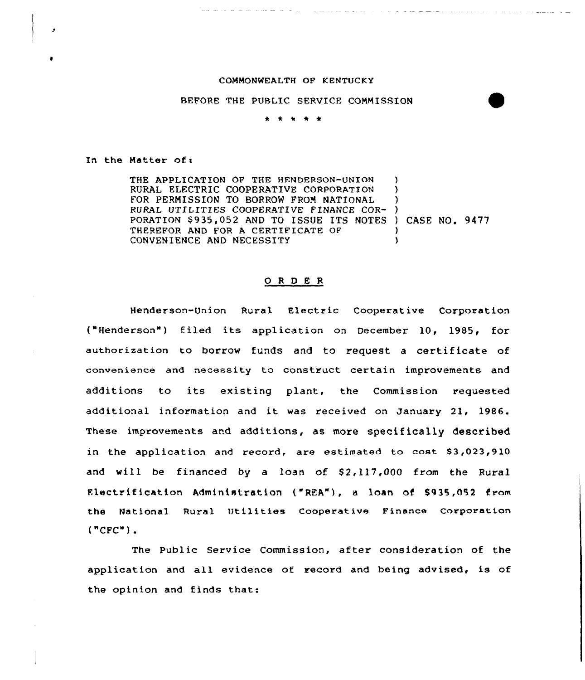## COMMONWEALTH OF KENTUCKY

## BEFORE THE PUBLIC SERVICE COMMISSION

## \* \* <sup>+</sup> \* \*

In the Matter of:

THE APPLICATION OF THE HENDERSON-UNION RURAL ELECTRIC COOPERATIVE CORPORATION FOR PERMISSION TO BORROW FROM NATIONAL RURAL UTILITIES COOPERATIVE FINANCE COR-) PORATION \$935,052 AND TO ISSUE ITS NOTES ) CASE NO. 9477 THEREFOR AND FOR A CERTIFICATE OF CONVENIENCE AND NECESSITY  $\lambda$ ) ) ) )

## O R D E R

Henderson-Union Rural Electric Cooperative Corporation ("Henderson") filed its application on December 10, 1985, for authorization to borrow funds and to request <sup>a</sup> certificate of convenience and necessity to construct certain improvements and additions to its existing plant, the Commission requested additional information and it was received on January 21, 1986. These improvements and additions, as more specifically described in the application and record, are estimated to cost  $$3,023,910$ and will be financed by a loan of  $$2,117,000$  from the Rural Electrification Administration ("REA"), a loan of \$935,052 from the National Rural Utilities Cooperative Finance Corporation ("CFC")

The Public Service Commission, after consideration of the application and all evidence of record and being advised, is of the opinion and finds that: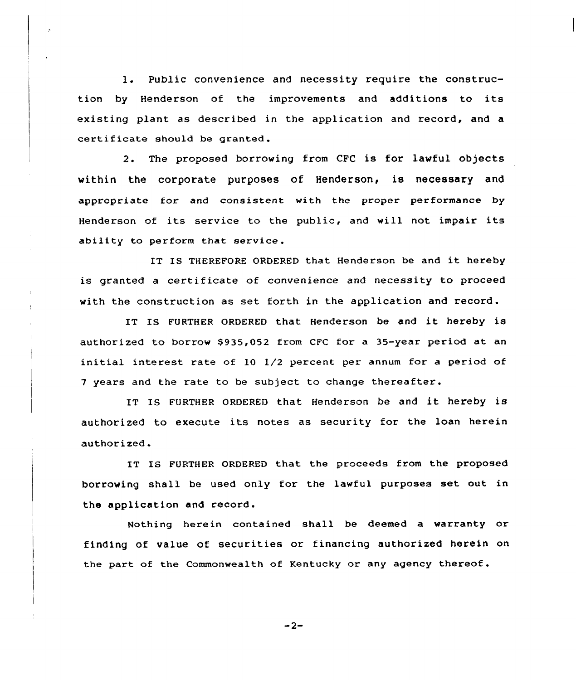1. Public convenience and necessity require the construction by Henderson of the improvements and additions to its existing plant as described in the application and record, and a certificate should be granted .

2. The proposed borrowing from CFC is for lawful objects within the corporate purposes of Henderson, is necessary and appropriate for and consistent with the proper performance by Henderson of its service to the public, and will not impair its ability to perform that service.

IT IS THEREFORE ORDERED that Henderson be and it hereby is granted a certificate of convenience and necessity to proceed with the construction as set forth in the application and record.

IT IS FURTHER ORDERED that Henderson be and it hereby is authorized to borrow \$935,052 from CFC for a 35-year period at an initial interest rate of 10 1/2 percent per annum for a period of <sup>7</sup> years and the rate to be subject to change thereafter.

IT IS FURTHER ORDERED that Henderson be and it hereby is authorized to execute its notes as security for the loan herein authorized.

IT IS FURTHER ORDERED that the proceeds from the proposed borrowing shall be used only for the lawful purposes set out in the application and record.

Nothing herein contained shall be deemed a warranty or finding of value of securities or financing authorized herein on the part of the Commonwealth of Kentucky or any agency thereof.

$$
-2-
$$